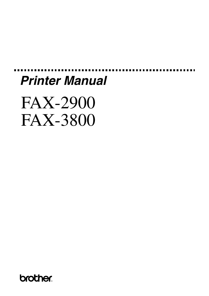# *Printer Manual*

FAX-2900 FAX-3800

**brother**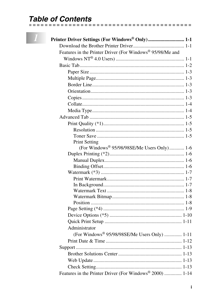#### **Table of Contents**

| Printer Driver Settings (For Windows® Only) 1-1           |  |
|-----------------------------------------------------------|--|
|                                                           |  |
| Features in the Printer Driver (For Windows® 95/98/Me and |  |
|                                                           |  |
|                                                           |  |
|                                                           |  |
|                                                           |  |
|                                                           |  |
|                                                           |  |
|                                                           |  |
|                                                           |  |
|                                                           |  |
|                                                           |  |
|                                                           |  |
|                                                           |  |
|                                                           |  |
| <b>Print Setting</b>                                      |  |
| (For Windows® 95/98/98SE/Me Users Only) 1-6               |  |
|                                                           |  |
|                                                           |  |
|                                                           |  |
|                                                           |  |
|                                                           |  |
|                                                           |  |
|                                                           |  |
|                                                           |  |
|                                                           |  |
|                                                           |  |
|                                                           |  |
|                                                           |  |
| Administrator                                             |  |
| (For Windows <sup>®</sup> 95/98/98SE/Me Users Only)  1-11 |  |
|                                                           |  |
|                                                           |  |
|                                                           |  |
|                                                           |  |
|                                                           |  |
| Features in the Printer Driver (For Windows® 2000)  1-14  |  |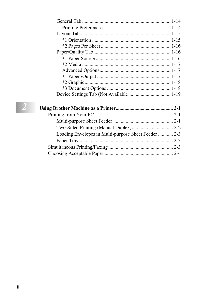| Loading Envelopes in Multi-purpose Sheet Feeder  2-3 |  |
|------------------------------------------------------|--|
|                                                      |  |
|                                                      |  |
|                                                      |  |
|                                                      |  |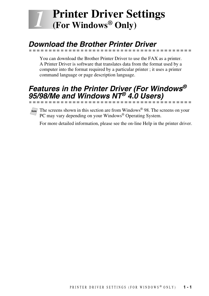# <span id="page-3-0"></span>*1 <sup>1</sup>***Printer Driver Settings (For Windows® Only)**

# <span id="page-3-1"></span>*Download the Brother Printer Driver*

You can download the Brother Printer Driver to use the FAX as a printer. A Printer Driver is software that translates data from the format used by a computer into the format required by a particular printer ; it uses a printer command language or page description language.

## <span id="page-3-2"></span>*Features in the Printer Driver (For Windows® 95/98/Me and Windows NT® 4.0 Users)*



**Note** The screens shown in this section are from Windows® 98. The screens on your PC may vary depending on your Windows® Operating System.

For more detailed information, please see the on-line Help in the printer driver.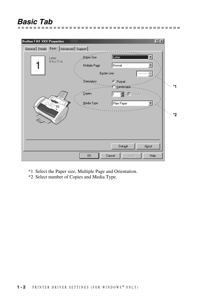# <span id="page-4-0"></span>*Basic Tab*

| <b>Brother FAX XXX Properties</b>          | 7x                                                                                                         |    |
|--------------------------------------------|------------------------------------------------------------------------------------------------------------|----|
| General Details Basic   Advanced   Support |                                                                                                            |    |
| Letter<br>8 % x 11 in                      | Paper Size<br>etter<br>Multiple Page<br>Normal<br><b>Border Line</b>                                       |    |
| 95                                         | Orientation<br>C Portrait<br>· C · Landscape<br>Copies<br>$\Box$ Collate<br>≜<br>Plain Paper<br>Media Type | *1 |
| <b>RACK CA</b>                             |                                                                                                            | *2 |
|                                            | Default<br>About                                                                                           |    |
|                                            | Cancel<br>0K<br>Help<br>Apply                                                                              |    |

-----------------------------

- \*1 Select the Paper size, Multiple Page and Orientation.
- \*2 Select number of Copies and Media Type.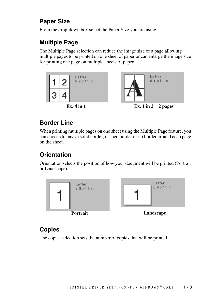#### <span id="page-5-0"></span>**Paper Size**

From the drop-down box select the Paper Size you are using.

### <span id="page-5-1"></span>**Multiple Page**

The Multiple Page selection can reduce the image size of a page allowing multiple pages to be printed on one sheet of paper or can enlarge the image size for printing one page on multiple sheets of paper.







**Ex.** 4 in 1 **Ex.** 1 in  $2 \times 2$  pages

#### <span id="page-5-2"></span>**Border Line**

When printing multiple pages on one sheet using the Multiple Page feature, you can choose to have a solid border, dashed border or no border around each page on the sheet.

## <span id="page-5-3"></span>**Orientation**

Orientation selects the position of how your document will be printed (Portrait or Landscape).



## <span id="page-5-4"></span>**Copies**

The copies selection sets the number of copies that will be printed.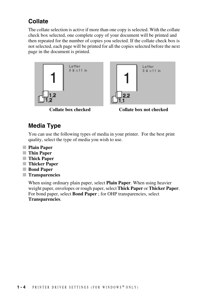#### <span id="page-6-0"></span>**Collate**

The collate selection is active if more than one copy is selected. With the collate check box selected, one complete copy of your document will be printed and then repeated for the number of copies you selected. If the collate check box is not selected, each page will be printed for all the copies selected before the next page in the document is printed.



**Collate box checked Collate box not checked**

#### <span id="page-6-1"></span>**Media Type**

You can use the following types of media in your printer. For the best print quality, select the type of media you wish to use.

- **Plain Paper**
- **Thin Paper**
- **Thick Paper**
- **Thicker Paper**
- **Bond Paper**
- **Transparencies**

When using ordinary plain paper, select **Plain Paper**. When using heavier weight paper, envelopes or rough paper, select **Thick Paper** or **Thicker Paper**. For bond paper, select **Bond Paper** ; for OHP transparencies, select **Transparencies**.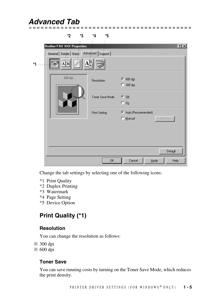## <span id="page-7-0"></span>*Advanced Tab*

| *2                                           | *3 | *4                   | *5              |                          |         |      |
|----------------------------------------------|----|----------------------|-----------------|--------------------------|---------|------|
| <b>Brother FAX XXX Properties</b>            |    |                      |                 |                          |         | 2x   |
| General Details   Basic   Advanced   Support |    |                      |                 |                          |         |      |
| АĮВ                                          |    |                      |                 |                          |         |      |
| 600 dpi                                      |    | Resolution           |                 | ← 600 dpi<br>$C$ 300 dpj |         |      |
|                                              |    |                      | Toner Save Mode | ு 0 ர<br>$C_0$           |         |      |
|                                              |    | <b>Print Setting</b> |                 | Auto (Recommended)       |         |      |
|                                              |    |                      |                 | C Manual                 | Setting |      |
|                                              |    |                      |                 |                          |         |      |
|                                              |    |                      |                 |                          |         |      |
|                                              |    |                      |                 |                          |         |      |
|                                              |    |                      |                 |                          | Default |      |
|                                              |    |                      | 0K              | Cancel                   | Apply   | Help |

---------------------

Change the tab settings by selecting one of the following icons:

- \*1 Print Quality
- \*2 Duplex Printing
- \*3 Watermark
- \*4 Page Setting
- \*5 Device Option

#### <span id="page-7-1"></span>**Print Quality (\*1)**

#### <span id="page-7-2"></span>**Resolution**

You can change the resolution as follows:

- 300 dpi
- 600 dpi

#### <span id="page-7-3"></span>**Toner Save**

You can save running costs by turning on the Toner Save Mode, which reduces the print density.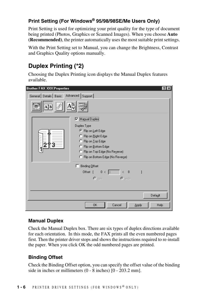#### <span id="page-8-0"></span>**Print Setting (For Windows® 95/98/98SE/Me Users Only)**

Print Setting is used for optimizing your print quality for the type of document being printed (Photos, Graphics or Scanned Images). When you choose **Auto (Recommended)**, the printer automatically uses the most suitable print settings.

With the Print Setting set to Manual, you can change the Brightness, Contrast and Graphics Quality options manually.

### <span id="page-8-1"></span>**Duplex Printing (\*2)**

Choosing the Duplex Printing icon displays the Manual Duplex features available.

| $\left  \cdot \right $<br><b>Brother FAX XXX Properties</b> |
|-------------------------------------------------------------|
| General Details   Basic   Advanced   Support                |
| AIB                                                         |
| Manual Duplex                                               |
| Duplex Type                                                 |
| ● Flip on Left Edge                                         |
| C Flip on Right Edge                                        |
| C Flip on Top Edge                                          |
| C Flip on Bottom Edge                                       |
| C Flip on Top Edge (No Reverse)                             |
| C Flip on Bottom Edge (No Reverse)                          |
| Binding Offset                                              |
| $0 < \boxed{0}$<br>$\sqrt{8}$<br>Offset [                   |
| $\bullet$ mm $\bullet$ inch                                 |
|                                                             |
|                                                             |
| Default                                                     |
| <b>OK</b><br>Cancel<br>Help<br>Apply                        |

#### <span id="page-8-2"></span>**Manual Duplex**

Check the Manual Duplex box. There are six types of duplex directions available for each orientation. In this mode, the FAX prints all the even numbered pages first. Then the printer driver stops and shows the instructions required to re-install the paper. When you click OK the odd numbered pages are printed.

#### <span id="page-8-3"></span>**Binding Offset**

Check the Binding Offset option, you can specify the offset value of the binding side in inches or millimeters (0 - 8 inches) [0 - 203.2 mm].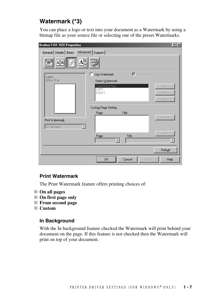#### <span id="page-9-0"></span>**Watermark (\*3)**

You can place a logo or text into your document as a Watermark by using a bitmap file as your source file or selecting one of the preset Watermarks.

| <b>Brother FAX XXX Properties</b> |                             |                                           | ? X     |
|-----------------------------------|-----------------------------|-------------------------------------------|---------|
| General Details   Basic           | Advanced Support            |                                           |         |
| $ \overline{\mathbf{A}} $<br>Š    |                             |                                           |         |
| Letter                            | Use Watermark<br>п          | $\overline{\triangleright}$ In background |         |
| 8 % x 11 in                       | Select Watermark            |                                           |         |
|                                   | CONFIDENTIAL<br><b>COPY</b> |                                           | Edit    |
|                                   | <b>DRAFT</b>                |                                           | Delete  |
|                                   |                             |                                           | New     |
|                                   | Custom Page Setting         |                                           |         |
|                                   | Page                        | Title                                     |         |
| Print Watermark                   |                             |                                           | Delete  |
| On all pages                      |                             |                                           |         |
|                                   | Page                        | Title                                     | Add     |
|                                   | ×                           |                                           |         |
|                                   |                             |                                           | Default |
|                                   | <b>OK</b>                   | Cancel<br><b>Apply</b>                    | Help    |

#### <span id="page-9-1"></span>**Print Watermark**

The Print Watermark feature offers printing choices of:

- **On all pages**
- **On first page only**
- **From second page**
- **Custom**

#### <span id="page-9-2"></span>**In Background**

With the In background feature checked the Watermark will print behind your document on the page. If this feature is not checked then the Watermark will print on top of your document.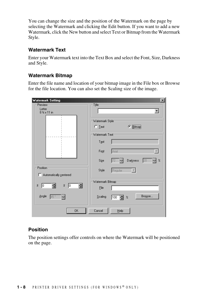You can change the size and the position of the Watermark on the page by selecting the Watermark and clicking the Edit button. If you want to add a new Watermark, click the New button and select Text or Bitmap from the Watermark Style.

#### <span id="page-10-0"></span>**Watermark Text**

Enter your Watermark text into the Text Box and select the Font, Size, Darkness and Style.

#### <span id="page-10-1"></span>**Watermark Bitmap**

Enter the file name and location of your bitmap image in the File box or Browse for the file location. You can also set the Scaling size of the image.

| <b>Watermark Setting</b>                       | $\vert x \vert$                           |
|------------------------------------------------|-------------------------------------------|
| Preview                                        | Title:                                    |
| Letter                                         |                                           |
| 8 % x 11 in                                    |                                           |
|                                                | Watermark Style                           |
|                                                |                                           |
|                                                | $C$ Lext<br>$\sigma$ <i>Bitmap</i>        |
|                                                | Watermark Text                            |
|                                                | Text                                      |
|                                                |                                           |
|                                                | Arial<br>Font                             |
|                                                | ê,<br>Darkness<br>$\%$<br>÷<br>Size<br>20 |
| Position                                       |                                           |
|                                                | Style<br>Regular                          |
| Automatically centered                         |                                           |
|                                                | Watermark Bitmap-                         |
| Ε<br>¥<br>$\underline{\mathbf{x}}$<br>Iо<br>Iо | Eile                                      |
|                                                |                                           |
| Angle<br>릨<br>45                               | Browse<br>Scaling<br>100<br>$\!\! \%$     |
|                                                |                                           |
| 0K                                             | Cancel                                    |
|                                                | $He$ lp                                   |

#### <span id="page-10-2"></span>**Position**

The position settings offer controls on where the Watermark will be positioned on the page.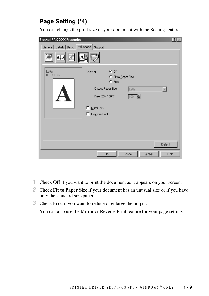#### <span id="page-11-0"></span>**Page Setting (\*4)**

You can change the print size of your document with the Scaling feature.

| <b>Brother FAX XXX Properties</b>            |                    |                                                    |          |       | 2 X     |
|----------------------------------------------|--------------------|----------------------------------------------------|----------|-------|---------|
| General Details   Basic   Advanced   Support |                    |                                                    |          |       |         |
| А‡В                                          |                    |                                                    |          |       |         |
| Letter<br>8 % x 11 in                        | Scaling            | $G$ Off<br>C Fit to Paper Size<br>$\subseteq$ Free |          |       |         |
|                                              |                    | Output Paper Size                                  | Letter   |       |         |
|                                              | Free [25 - 100 %]  |                                                    | e<br>100 |       |         |
|                                              | Mirror Print<br>г  |                                                    |          |       |         |
|                                              | Reverse Print<br>п |                                                    |          |       |         |
|                                              |                    |                                                    |          |       |         |
|                                              |                    |                                                    |          |       |         |
|                                              |                    |                                                    |          |       |         |
|                                              |                    |                                                    |          |       | Default |
|                                              |                    | 0K                                                 | Cancel   | Apply | Help    |

- *1* Check **Off** if you want to print the document as it appears on your screen.
- *2* Check **Fit to Paper Size** if your document has an unusual size or if you have only the standard size paper.
- *3* Check **Free** if you want to reduce or enlarge the output.

You can also use the Mirror or Reverse Print feature for your page setting.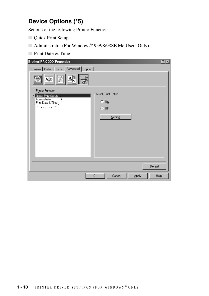#### <span id="page-12-0"></span>**Device Options (\*5)**

Set one of the following Printer Functions:

- Quick Print Setup
- Administrator (For Windows<sup>®</sup> 95/98/98SE Me Users Only)
- Print Date & Time

| <b>Brother FAX XXX Properties</b>                      |                               | 2x |
|--------------------------------------------------------|-------------------------------|----|
| General Details   Basic   Advanced   Support           |                               |    |
| А‡В                                                    |                               |    |
| Printer Function<br>Quick Print Setup<br>Administrator | Quick Print Setup             |    |
| Print Date & Time<br> <br>                             | $C_0$                         |    |
|                                                        | ு 01                          |    |
|                                                        |                               |    |
|                                                        | Setting                       |    |
|                                                        |                               |    |
|                                                        |                               |    |
|                                                        |                               |    |
|                                                        |                               |    |
|                                                        |                               |    |
|                                                        |                               |    |
|                                                        |                               |    |
|                                                        | Default                       |    |
|                                                        | 0K<br>Cancel<br>Help<br>Apply |    |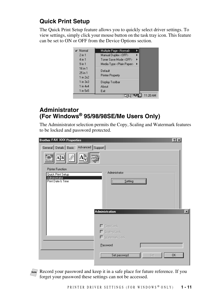#### <span id="page-13-0"></span>**Quick Print Setup**

The Quick Print Setup feature allows you to quickly select driver settings. To view settings, simply click your mouse button on the task tray icon. This feature can be set to ON or OFF from the Device Options section.

| Normal             | Multiple Page <normal></normal>     |          |  |
|--------------------|-------------------------------------|----------|--|
| $2$ in 1           | Manual Duplex <off></off>           |          |  |
| 4 in 1             | Toner Save Mode <off></off>         |          |  |
| 9 <sub>in1</sub>   | Media Type <plain paper=""></plain> |          |  |
| 16 in 1<br>25 in 1 | Default                             |          |  |
| $1$ in $2x2$       | <b>Printer Property</b>             |          |  |
| $1$ in $3x3$       | Display Toolbar                     |          |  |
| $1$ in $4x4$       | About                               |          |  |
| 1 in 5x5           | Exit                                |          |  |
|                    |                                     | 11:20 AM |  |

#### <span id="page-13-1"></span>**Administrator (For Windows® 95/98/98SE/Me Users Only)**

The Administrator selection permits the Copy, Scaling and Watermark features to be locked and password protected.

| <b>Brother FAX XXX Properties</b>            | $ ?  \times$              |                 |
|----------------------------------------------|---------------------------|-----------------|
| General Details   Basic   Advanced   Support |                           |                 |
| A‡B                                          |                           |                 |
| <b>Printer Function</b>                      |                           |                 |
| Quick Print Setup<br>Administrator           | Administrator             |                 |
| Print Date & Time                            | Setting                   |                 |
|                                              |                           |                 |
|                                              |                           |                 |
|                                              |                           |                 |
|                                              |                           |                 |
|                                              | <b>Administration</b>     | $\vert x \vert$ |
|                                              |                           |                 |
|                                              | $\Box$ Copy Lock          |                 |
|                                              | Scaling Lock              |                 |
|                                              | □ Watermark Lock          |                 |
|                                              | Password                  |                 |
|                                              |                           |                 |
|                                              | Set password<br>OK<br>Set |                 |
|                                              |                           |                 |

**Note** Record your password and keep it in a safe place for future reference. If you forget your password these settings can not be accessed.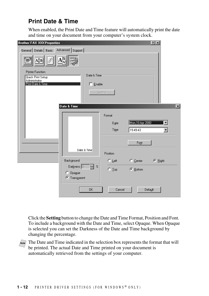#### <span id="page-14-0"></span>**Print Date & Time**

When enabled, the Print Date and Time feature will automatically print the date and time on your document from your computer's system clock.

| <b>Brother FAX XXX Properties</b>                                        |                  |                     | 2x                      |
|--------------------------------------------------------------------------|------------------|---------------------|-------------------------|
| General Details   Basic Advanced Support                                 |                  |                     |                         |
| AĮB                                                                      |                  |                     |                         |
| <b>Printer Function</b><br>Date & Time                                   |                  |                     |                         |
| Quick Print Setup<br>Administrator<br>Print Date & Time<br>$\Box$ Enable | Setting          |                     |                         |
| Date & Time                                                              |                  |                     | $\overline{\mathbf{x}}$ |
|                                                                          | Format           |                     |                         |
|                                                                          | Date             | Mon.10 Apr 2000     |                         |
|                                                                          | Time             | 19:49:43            | ▼                       |
|                                                                          |                  | Font                |                         |
| Date & Time                                                              | Position         |                     |                         |
| Background                                                               | $\subseteq$ Left | $\mathbb{C}$ Center | $G$ Right               |
| e e<br>Darkness <sup>O</sup><br>C Opague<br><b>C</b> Transparent         | $\bigcirc$ Lop   | © <u>B</u> ottom    |                         |
| <b>OK</b>                                                                | Cancel           | Default             |                         |

Click the **Setting** button to change the Date and Time Format, Position and Font. To include a background with the Date and Time, select Opaque. When Opaque is selected you can set the Darkness of the Date and Time background by changing the percentage.

**Note** The Date and Time indicated in the selection box represents the format that will be printed. The actual Date and Time printed on your document is automatically retrieved from the settings of your computer.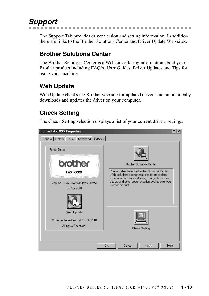# <span id="page-15-0"></span>*Support*

The Support Tab provides driver version and setting information. In addition there are links to the Brother Solutions Center and Driver Update Web sites.

--------------

#### <span id="page-15-1"></span>**Brother Solutions Center**

The Brother Solutions Center is a Web site offering information about your Brother product including FAQ's, User Guides, Driver Updates and Tips for using your machine.

#### <span id="page-15-2"></span>**Web Update**

Web Update checks the Brother web site for updated drivers and automatically downloads and updates the driver on your computer.

#### <span id="page-15-3"></span>**Check Setting**

The Check Setting selection displays a list of your current drivers settings.

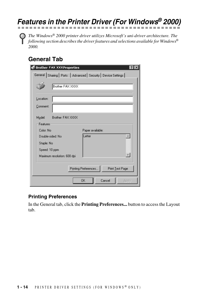# <span id="page-16-0"></span>*Features in the Printer Driver (For Windows® 2000)*

*The Windows® 2000 printer driver utilizes Microsoft's uni-driver architecture. The following section describes the driver features and selections available for Windows® 2000.*

#### <span id="page-16-1"></span>**General Tab**

| <b>Brother FAX XXXProperties</b>                                |
|-----------------------------------------------------------------|
| General Sharing   Ports   Advanced   Security   Device Settings |
| Brother FAX XXXX                                                |
| Location:                                                       |
| Comment:                                                        |
| Brother FAX XXXX<br>Model:                                      |
| Features                                                        |
| Color: No.<br>Paper available:                                  |
| Letter<br>Double-sided: No                                      |
| Staple: No                                                      |
| Speed: 10 ppm                                                   |
| Maximum resolution: 600 dpi                                     |
| Printing Preferences<br>Print Test Page                         |
| <b>OK</b><br>Cancel<br>Apply                                    |

#### <span id="page-16-2"></span>**Printing Preferences**

In the General tab, click the **Printing Preferences...** button to access the Layout tab.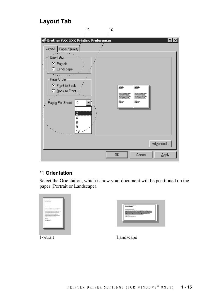#### **Layout Tab**

<span id="page-17-0"></span>

#### <span id="page-17-1"></span>**\*1 Orientation**

Select the Orientation, which is how your document will be positioned on the paper (Portrait or Landscape).

| ---<br>$\sim$<br>--<br>.<br>--- | $-$ |  |
|---------------------------------|-----|--|
|                                 |     |  |

| ----- |
|-------|

Portrait Landscape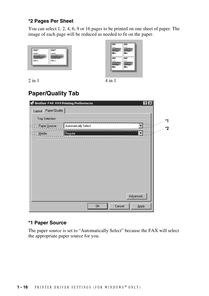#### <span id="page-18-0"></span>**\*2 Pages Per Sheet**

You can select 1, 2, 4, 6, 9 or 16 pages to be printed on one sheet of paper. The image of each page will be reduced as needed to fit on the paper.





 $2 \text{ in } 1$  4 in 1

## <span id="page-18-1"></span>**Paper/Quality Tab**

| Layout Paper/Quality<br>Tray Selection: | *1 |
|-----------------------------------------|----|
|                                         |    |
|                                         |    |
| Automatically Select<br>Paper Source:   | *2 |
| и.<br>  Regular<br>Media:               |    |
|                                         |    |
|                                         |    |
|                                         |    |
|                                         |    |
|                                         |    |
|                                         |    |
|                                         |    |
|                                         |    |
| Advanced                                |    |
| Cancel<br>0K<br>Apply                   |    |

#### <span id="page-18-2"></span>**\*1 Paper Source**

The paper source is set to "Automatically Select" because the FAX will select the appropriate paper source for you.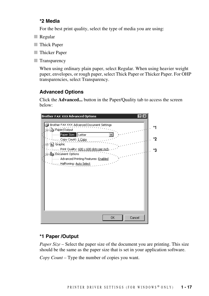#### <span id="page-19-0"></span>**\*2 Media**

For the best print quality, select the type of media you are using:

- Regular
- Thick Paper
- Thicker Paper
- Transparency

When using ordinary plain paper, select Regular. When using heavier weight paper, envelopes, or rough paper, select Thick Paper or Thicker Paper. For OHP transparencies, select Transparency.

#### <span id="page-19-1"></span>**Advanced Options**

Click the **Advanced...** button in the Paper/Quality tab to access the screen below:



#### <span id="page-19-2"></span>**\*1 Paper /Output**

*Paper Size* – Select the paper size of the document you are printing. This size should be the same as the paper size that is set in your application software.

*Copy Count* – Type the number of copies you want.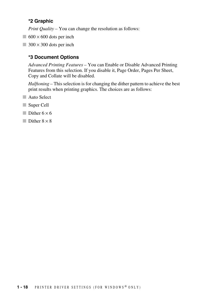#### <span id="page-20-0"></span>**\*2 Graphic**

*Print Quality* – You can change the resolution as follows:

- $\Box$  600  $\times$  600 dots per inch
- $\Box$  300  $\times$  300 dots per inch

#### <span id="page-20-1"></span>**\*3 Document Options**

*Advanced Printing Features* – You can Enable or Disable Advanced Printing Features from this selection. If you disable it, Page Order, Pages Per Sheet, Copy and Collate will be disabled.

*Halftoning* – This selection is for changing the dither pattern to achieve the best print results when printing graphics. The choices are as follows:

- Auto Select
- Super Cell
- Dither  $6 \times 6$
- $\Box$  Dither  $8 \times 8$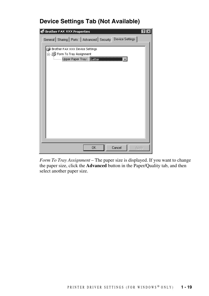#### <span id="page-21-0"></span>**Device Settings Tab (Not Available)**

| <b>Brother FAX XXX Properties</b><br>$ 2\rangle$                                            |
|---------------------------------------------------------------------------------------------|
| General Sharing   Ports   Advanced   Security Device Settings                               |
| Brother FAX XXX Device Settings<br>白…奧 Form To Tray Assignment<br>Upper Paper Tray: Italien |
| Cancel<br>0K<br>Apply                                                                       |

*Form To Tray Assignment* – The paper size is displayed. If you want to change the paper size, click the **Advanced** button in the Paper/Quality tab, and then select another paper size.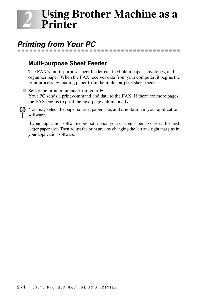# <span id="page-22-0"></span>*2 <sup>2</sup>***Using Brother Machine as a Printer**

# <span id="page-22-1"></span>*Printing from Your PC*

#### <span id="page-22-2"></span>**Multi-purpose Sheet Feeder**

The FAX's multi-purpose sheet feeder can feed plain paper, envelopes, and organizer paper. When the FAX receives data from your computer, it begins the print process by loading paper from the multi-purpose sheet feeder.

-----------------

■ Select the print command from your PC. Your PC sends a print command and data to the FAX. If there are more pages, the FAX begins to print the next page automatically.

You may select the paper source, paper size, and orientation in your application software.

If your application software does not support your custom paper size, select the next larger paper size. Then adjust the print area by changing the left and right margins in your application software.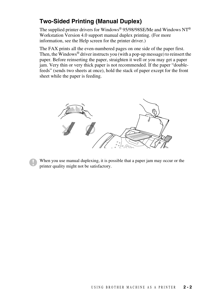#### <span id="page-23-0"></span>**Two-Sided Printing (Manual Duplex)**

The supplied printer drivers for Windows® 95/98/98SE/Me and Windows NT® Workstation Version 4.0 support manual duplex printing. (For more information, see the Help screen for the printer driver.)

The FAX prints all the even-numbered pages on one side of the paper first. Then, the Windows® driver instructs you (with a pop-up message) to reinsert the paper. Before reinserting the paper, straighten it well or you may get a paper jam. Very thin or very thick paper is not recommended. If the paper "doublefeeds" (sends two sheets at once), hold the stack of paper except for the front sheet while the paper is feeding.



When you use manual duplexing, it is possible that a paper jam may occur or the printer quality might not be satisfactory.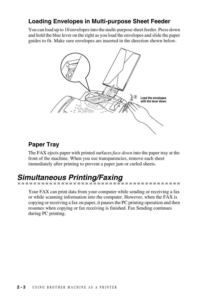#### <span id="page-24-0"></span>**Loading Envelopes in Multi-purpose Sheet Feeder**

You can load up to 10 envelopes into the multi-purpose sheet feeder. Press down and hold the blue lever on the right as you load the envelopes and slide the paper guides to fit. Make sure envelopes are inserted in the direction shown below.



#### <span id="page-24-1"></span>**Paper Tray**

The FAX ejects paper with printed surfaces *face down* into the paper tray at the front of the machine. When you use transparencies, remove each sheet immediately after printing to prevent a paper jam or curled sheets.

# <span id="page-24-2"></span>*Simultaneous Printing/Faxing*

Your FAX can print data from your computer while sending or receiving a fax or while scanning information into the computer. However, when the FAX is copying or receiving a fax on paper, it pauses the PC printing operation and then resumes when copying or fax receiving is finished. Fax Sending continues during PC printing.

. . . . .